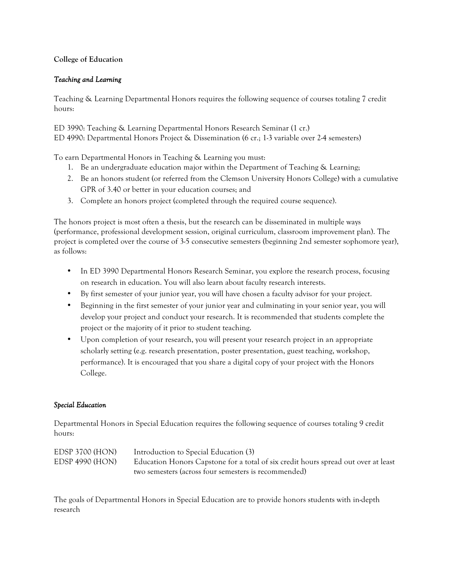## **College of Education**

## *Teaching and Learning*

Teaching & Learning Departmental Honors requires the following sequence of courses totaling 7 credit hours:

ED 3990: Teaching & Learning Departmental Honors Research Seminar (1 cr.) ED 4990: Departmental Honors Project & Dissemination (6 cr.; 1-3 variable over 2-4 semesters)

To earn Departmental Honors in Teaching & Learning you must:

- 1. Be an undergraduate education major within the Department of Teaching & Learning;
- 2. Be an honors student (or referred from the Clemson University Honors College) with a cumulative GPR of 3.40 or better in your education courses; and
- 3. Complete an honors project (completed through the required course sequence).

The honors project is most often a thesis, but the research can be disseminated in multiple ways (performance, professional development session, original curriculum, classroom improvement plan). The project is completed over the course of 3-5 consecutive semesters (beginning 2nd semester sophomore year), as follows:

- In ED 3990 Departmental Honors Research Seminar, you explore the research process, focusing on research in education. You will also learn about faculty research interests.
- By first semester of your junior year, you will have chosen a faculty advisor for your project.
- Beginning in the first semester of your junior year and culminating in your senior year, you will develop your project and conduct your research. It is recommended that students complete the project or the majority of it prior to student teaching.
- Upon completion of your research, you will present your research project in an appropriate scholarly setting (e.g. research presentation, poster presentation, guest teaching, workshop, performance). It is encouraged that you share a digital copy of your project with the Honors College.

## *Special Education*

Departmental Honors in Special Education requires the following sequence of courses totaling 9 credit hours:

| EDSP 3700 (HON)        | Introduction to Special Education (3)                                              |
|------------------------|------------------------------------------------------------------------------------|
| <b>EDSP 4990 (HON)</b> | Education Honors Capstone for a total of six credit hours spread out over at least |
|                        | two semesters (across four semesters is recommended)                               |

The goals of Departmental Honors in Special Education are to provide honors students with in-depth research